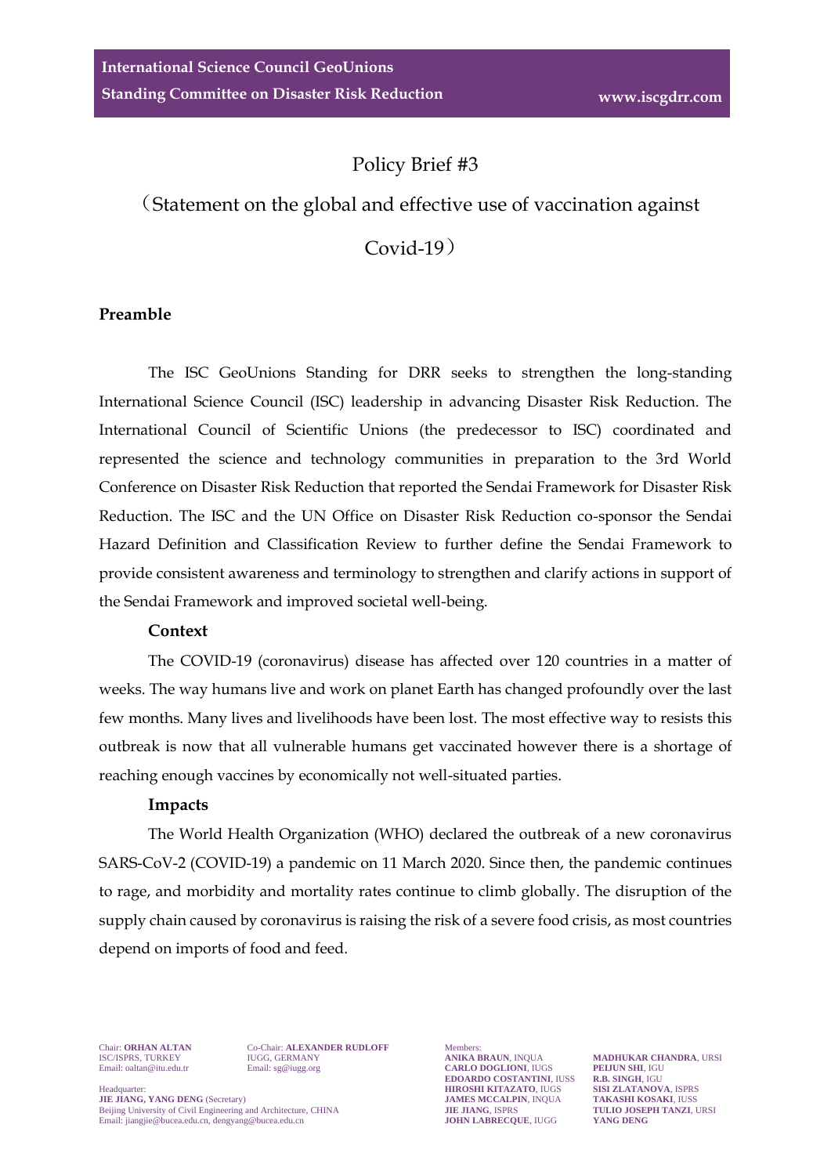# Policy Brief #3

# (Statement on the global and effective use of vaccination against

Covid-19)

#### **Preamble**

The ISC GeoUnions Standing for DRR seeks to strengthen the long-standing International Science Council (ISC) leadership in advancing Disaster Risk Reduction. The International Council of Scientific Unions (the predecessor to ISC) coordinated and represented the science and technology communities in preparation to the 3rd World Conference on Disaster Risk Reduction that reported the Sendai Framework for Disaster Risk Reduction. The ISC and the UN Office on Disaster Risk Reduction co-sponsor the Sendai Hazard Definition and Classification Review to further define the Sendai Framework to provide consistent awareness and terminology to strengthen and clarify actions in support of the Sendai Framework and improved societal well-being.

#### **Context**

The COVID-19 (coronavirus) disease has affected over 120 countries in a matter of weeks. The way humans live and work on planet Earth has changed profoundly over the last few months. Many lives and livelihoods have been lost. The most effective way to resists this outbreak is now that all vulnerable humans get vaccinated however there is a shortage of reaching enough vaccines by economically not well-situated parties.

### **Impacts**

The World Health Organization (WHO) declared the outbreak of a new coronavirus SARS-CoV-2 (COVID-19) a pandemic on 11 March 2020. Since then, the pandemic continues to rage, and morbidity and mortality rates continue to climb globally. The disruption of the supply chain caused by coronavirus is raising the risk of a severe food crisis, as most countries depend on imports of food and feed.

Chair: **ORHAN ALTAN** Co-Chair: **ALEXANDER RUDLOFF** Members:<br>
ISC/ISPRS, TURKEY IUGG, GERMANY **ANIKA BRAUN**, INQUA

ISC/ISPRS, TURKEY IUGG, GERMANY **ANIKA BRAUN**, INQUA **MADHUKAR CHANDRA**, URSI **EXAMELO DOGLIONI, IUGS PELJUN SHI, IGURDO COSTANTINI, IUSS R.B. SINGH**, IGU **EDOARDO COSTANTINI**, IUSS **R.B. SINGH**, IGU<br>**HIROSHI KITAZATO**, IUGS SISI ZLATANOVA, ISPRS **HEADQUARTER: HIROSHI KITAZATO**, IUGS **SISI ZLATANOVA**, ISPRS<br> **JIE JIANG, YANG DENG** (Secretary) **SISI ZUATANOVA, ISPRS JAMES MCCALPIN**, INQUA **TAKASHI KOSAKI**, IUSS

**JAMES MCCALPIN**, INQUA **TAKASHI KOSAKI**, IUSS<br> **Deiling University of Civil Engineering and Architecture. CHINA <b>JIE JIANG**, ISPRS **TULIO JOSEPH TANZI**. URSI Beijing University of Civil Engineering and Architecture, CHINA **JIE JIANG**, ISPRS **TULIO JOSE**<br>
Email: jiangjie@bucea.edu.cn, dengyang@bucea.edu.cn **JOHN LABRECQUE**, IUGG YANG DENG Email[: jiangjie@bucea.edu.cn,](mailto:jiangjie@bucea.edu.cn) [dengyang@bucea.edu.cn](mailto:dengyang@bucea.edu.cn)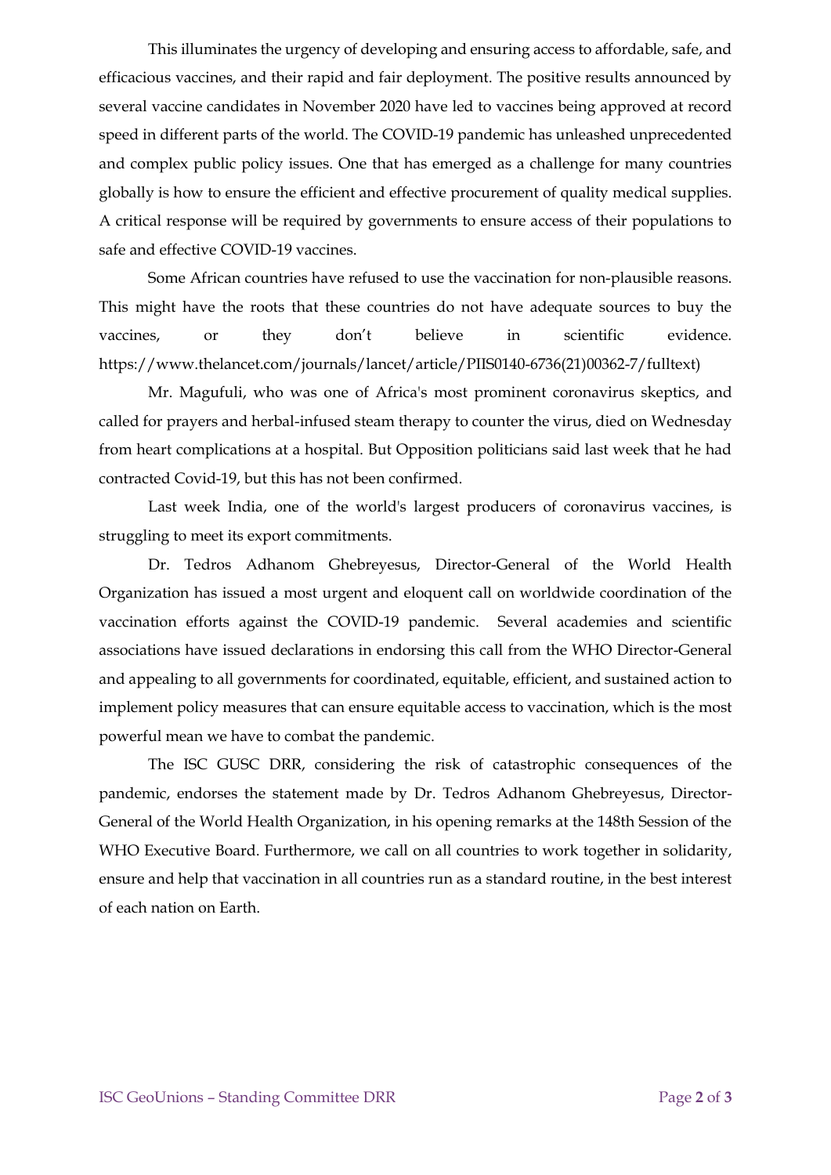This illuminates the urgency of developing and ensuring access to affordable, safe, and efficacious vaccines, and their rapid and fair deployment. The positive results announced by several vaccine candidates in November 2020 have led to vaccines being approved at record speed in different parts of the world. The COVID-19 pandemic has unleashed unprecedented and complex public policy issues. One that has emerged as a challenge for many countries globally is how to ensure the efficient and effective procurement of quality medical supplies. A critical response will be required by governments to ensure access of their populations to safe and effective COVID-19 vaccines.

Some African countries have refused to use the vaccination for non-plausible reasons. This might have the roots that these countries do not have adequate sources to buy the vaccines, or they don't believe in scientific evidence. https://www.thelancet.com/journals/lancet/article/PIIS0140-6736(21)00362-7/fulltext)

Mr. Magufuli, who was one of Africa's most prominent coronavirus skeptics, and called for prayers and herbal-infused steam therapy to counter the virus, died on Wednesday from heart complications at a hospital. But Opposition politicians said last week that he had contracted Covid-19, but this has not been confirmed.

Last week India, one of the world's largest producers of coronavirus vaccines, is struggling to meet its export commitments.

Dr. Tedros Adhanom Ghebreyesus, Director-General of the World Health Organization has issued a most urgent and eloquent call on worldwide coordination of the vaccination efforts against the COVID-19 pandemic. Several academies and scientific associations have issued declarations in endorsing this call from the WHO Director-General and appealing to all governments for coordinated, equitable, efficient, and sustained action to implement policy measures that can ensure equitable access to vaccination, which is the most powerful mean we have to combat the pandemic.

The ISC GUSC DRR, considering the risk of catastrophic consequences of the pandemic, endorses the statement made by Dr. Tedros Adhanom Ghebreyesus, Director-General of the World Health Organization, in his opening remarks at the 148th Session of the WHO Executive Board. Furthermore, we call on all countries to work together in solidarity, ensure and help that vaccination in all countries run as a standard routine, in the best interest of each nation on Earth.